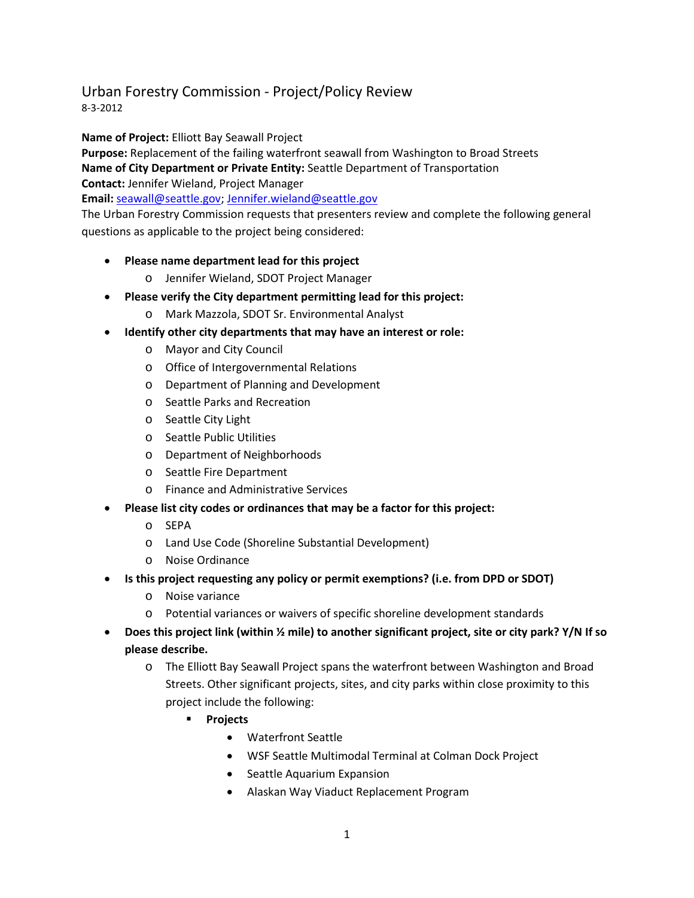## Urban Forestry Commission - Project/Policy Review

8-3-2012

**Name of Project:** Elliott Bay Seawall Project

**Purpose:** Replacement of the failing waterfront seawall from Washington to Broad Streets **Name of City Department or Private Entity:** Seattle Department of Transportation **Contact:** Jennifer Wieland, Project Manager

**Email:** [seawall@seattle.gov;](mailto:seawall@seattle.gov) [Jennifer.wieland@seattle.gov](mailto:Jennifer.wieland@seattle.gov)

The Urban Forestry Commission requests that presenters review and complete the following general questions as applicable to the project being considered:

- **Please name department lead for this project** 
	- o Jennifer Wieland, SDOT Project Manager
	- **Please verify the City department permitting lead for this project:** 
		- o Mark Mazzola, SDOT Sr. Environmental Analyst
- **Identify other city departments that may have an interest or role:**
	- o Mayor and City Council
	- o Office of Intergovernmental Relations
	- o Department of Planning and Development
	- o Seattle Parks and Recreation
	- o Seattle City Light
	- o Seattle Public Utilities
	- o Department of Neighborhoods
	- o Seattle Fire Department
	- o Finance and Administrative Services
- **Please list city codes or ordinances that may be a factor for this project:** 
	- o SEPA
	- o Land Use Code (Shoreline Substantial Development)
	- o Noise Ordinance
- **Is this project requesting any policy or permit exemptions? (i.e. from DPD or SDOT)**
	- o Noise variance
	- o Potential variances or waivers of specific shoreline development standards
- **Does this project link (within ½ mile) to another significant project, site or city park? Y/N If so please describe.**
	- o The Elliott Bay Seawall Project spans the waterfront between Washington and Broad Streets. Other significant projects, sites, and city parks within close proximity to this project include the following:
		- **Projects** 
			- Waterfront Seattle
			- WSF Seattle Multimodal Terminal at Colman Dock Project
			- Seattle Aquarium Expansion
			- Alaskan Way Viaduct Replacement Program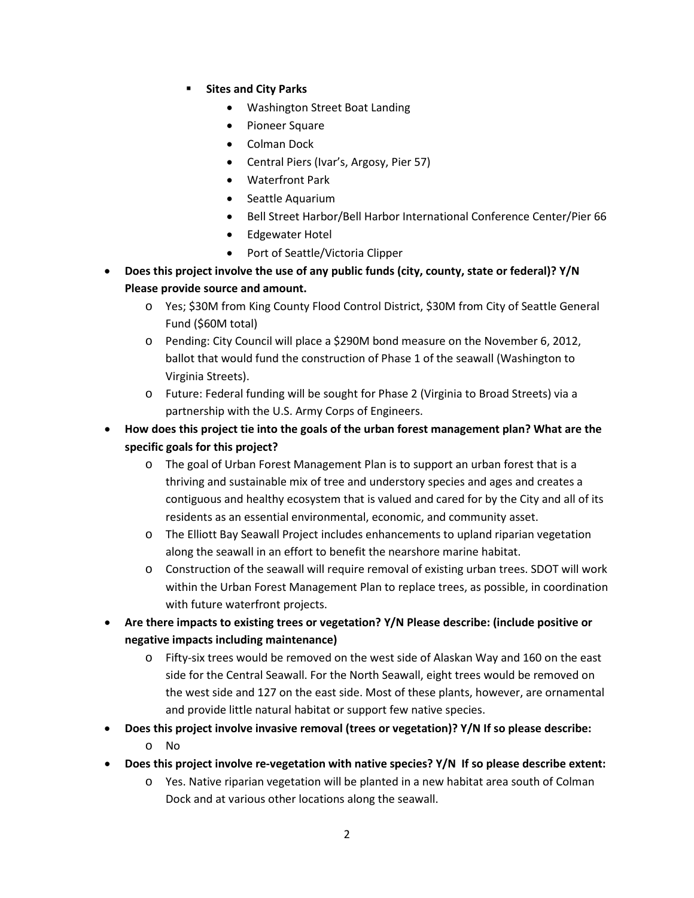- **Filtes and City Parks** 
	- Washington Street Boat Landing
	- Pioneer Square
	- Colman Dock
	- Central Piers (Ivar's, Argosy, Pier 57)
	- Waterfront Park
	- Seattle Aquarium
	- Bell Street Harbor/Bell Harbor International Conference Center/Pier 66
	- Edgewater Hotel
	- Port of Seattle/Victoria Clipper
- **Does this project involve the use of any public funds (city, county, state or federal)? Y/N Please provide source and amount.**
	- o Yes; \$30M from King County Flood Control District, \$30M from City of Seattle General Fund (\$60M total)
	- o Pending: City Council will place a \$290M bond measure on the November 6, 2012, ballot that would fund the construction of Phase 1 of the seawall (Washington to Virginia Streets).
	- o Future: Federal funding will be sought for Phase 2 (Virginia to Broad Streets) via a partnership with the U.S. Army Corps of Engineers.
- **How does this project tie into the goals of the urban forest management plan? What are the specific goals for this project?**
	- o The goal of Urban Forest Management Plan is to support an urban forest that is a thriving and sustainable mix of tree and understory species and ages and creates a contiguous and healthy ecosystem that is valued and cared for by the City and all of its residents as an essential environmental, economic, and community asset.
	- o The Elliott Bay Seawall Project includes enhancements to upland riparian vegetation along the seawall in an effort to benefit the nearshore marine habitat.
	- o Construction of the seawall will require removal of existing urban trees. SDOT will work within the Urban Forest Management Plan to replace trees, as possible, in coordination with future waterfront projects.
- **Are there impacts to existing trees or vegetation? Y/N Please describe: (include positive or negative impacts including maintenance)**
	- o Fifty-six trees would be removed on the west side of Alaskan Way and 160 on the east side for the Central Seawall. For the North Seawall, eight trees would be removed on the west side and 127 on the east side. Most of these plants, however, are ornamental and provide little natural habitat or support few native species.
- **Does this project involve invasive removal (trees or vegetation)? Y/N If so please describe:**
	- o No
- **Does this project involve re-vegetation with native species? Y/N If so please describe extent:**
	- o Yes. Native riparian vegetation will be planted in a new habitat area south of Colman Dock and at various other locations along the seawall.